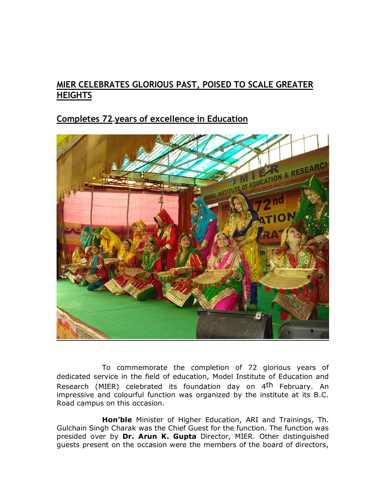## **MIER CELEBRATES GLORIOUS PAST, POISED TO SCALE GREATER HEIGHTS**

## **Completes 72 years of excellence in Education**



To commemorate the completion of 72 glorious years of dedicated service in the field of education, Model Institute of Education and Research (MIER) celebrated its foundation day on 4<sup>th</sup> February. An impressive and colourful function was organized by the institute at its B.C. Road campus on this occasion.

**Hon'ble** Minister of Higher Education, ARI and Trainings, Th. Gulchain Singh Charak was the Chief Guest for the function. The function was presided over by **Dr. Arun K. Gupta** Director, MIER. Other distinguished guests present on the occasion were the members of the board of directors,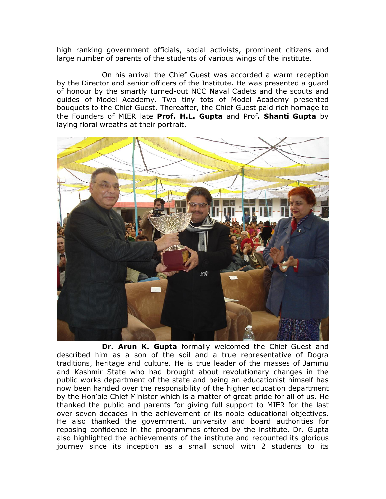high ranking government officials, social activists, prominent citizens and large number of parents of the students of various wings of the institute.

 On his arrival the Chief Guest was accorded a warm reception by the Director and senior officers of the Institute. He was presented a guard of honour by the smartly turned-out NCC Naval Cadets and the scouts and guides of Model Academy. Two tiny tots of Model Academy presented bouquets to the Chief Guest. Thereafter, the Chief Guest paid rich homage to the Founders of MIER late **Prof. H.L. Gupta** and Prof**. Shanti Gupta** by laying floral wreaths at their portrait.



**Dr. Arun K. Gupta** formally welcomed the Chief Guest and described him as a son of the soil and a true representative of Dogra traditions, heritage and culture. He is true leader of the masses of Jammu and Kashmir State who had brought about revolutionary changes in the public works department of the state and being an educationist himself has now been handed over the responsibility of the higher education department by the Hon'ble Chief Minister which is a matter of great pride for all of us. He thanked the public and parents for giving full support to MIER for the last over seven decades in the achievement of its noble educational objectives. He also thanked the government, university and board authorities for reposing confidence in the programmes offered by the institute. Dr. Gupta also highlighted the achievements of the institute and recounted its glorious journey since its inception as a small school with 2 students to its